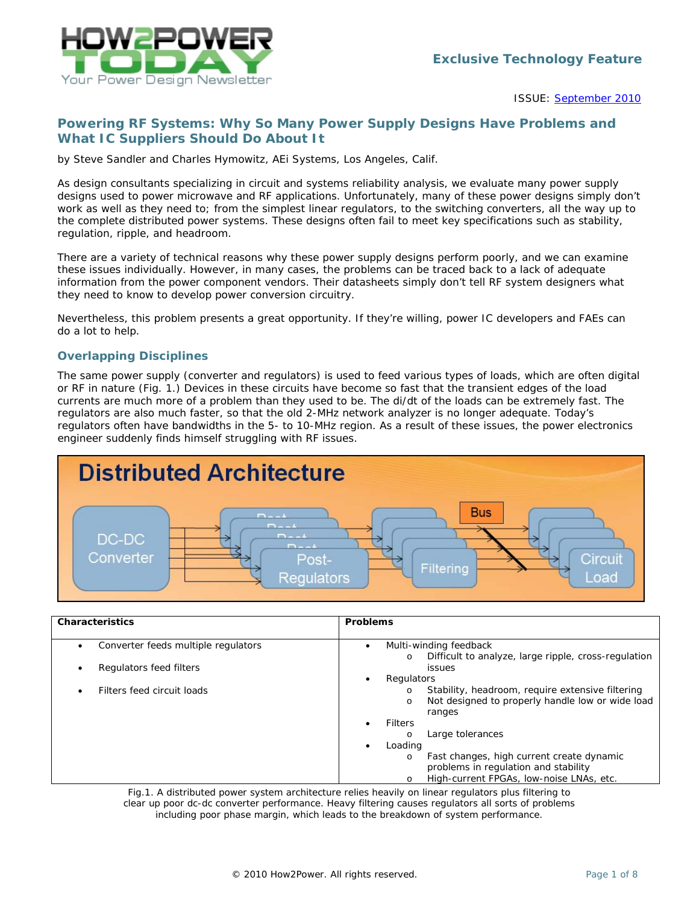

ISSUE: [September 2010](http://www.how2power.com/newsletters/1009/index.html)

# *Powering RF Systems: Why So Many Power Supply Designs Have Problems and What IC Suppliers Should Do About It*

*by Steve Sandler and Charles Hymowitz, AEi Systems, Los Angeles, Calif.*

As design consultants specializing in circuit and systems reliability analysis, we evaluate many power supply designs used to power microwave and RF applications. Unfortunately, many of these power designs simply don't work as well as they need to; from the simplest linear regulators, to the switching converters, all the way up to the complete distributed power systems. These designs often fail to meet key specifications such as stability, regulation, ripple, and headroom.

There are a variety of technical reasons why these power supply designs perform poorly, and we can examine these issues individually. However, in many cases, the problems can be traced back to a lack of adequate information from the power component vendors. Their datasheets simply don't tell RF system designers what they need to know to develop power conversion circuitry.

Nevertheless, this problem presents a great opportunity. If they're willing, power IC developers and FAEs can do a lot to help.

## *Overlapping Disciplines*

The same power supply (converter and regulators) is used to feed various types of loads, which are often digital or RF in nature (Fig. 1.) Devices in these circuits have become so fast that the transient edges of the load currents are much more of a problem than they used to be. The di/dt of the loads can be extremely fast. The regulators are also much faster, so that the old 2-MHz network analyzer is no longer adequate. Today's regulators often have bandwidths in the 5- to 10-MHz region. As a result of these issues, the power electronics engineer suddenly finds himself struggling with RF issues.



| <b>Characteristics</b>                           | Problems                                                                                                                             |
|--------------------------------------------------|--------------------------------------------------------------------------------------------------------------------------------------|
| Converter feeds multiple regulators<br>$\bullet$ | Multi-winding feedback<br>$\bullet$<br>Difficult to analyze, large ripple, cross-regulation<br>$\circ$                               |
| Regulators feed filters<br>$\bullet$             | issues                                                                                                                               |
|                                                  | Regulators                                                                                                                           |
| Filters feed circuit loads                       | Stability, headroom, require extensive filtering<br>$\circ$<br>Not designed to properly handle low or wide load<br>$\circ$<br>ranges |
|                                                  | <b>Filters</b>                                                                                                                       |
|                                                  | Large tolerances<br>$\circ$                                                                                                          |
|                                                  | Loading                                                                                                                              |
|                                                  | Fast changes, high current create dynamic<br>$\circ$                                                                                 |
|                                                  | problems in regulation and stability                                                                                                 |
|                                                  | High-current FPGAs, low-noise LNAs, etc.<br>$\circ$                                                                                  |

*Fig.1. A distributed power system architecture relies heavily on linear regulators plus filtering to clear up poor dc-dc converter performance. Heavy filtering causes regulators all sorts of problems including poor phase margin, which leads to the breakdown of system performance.*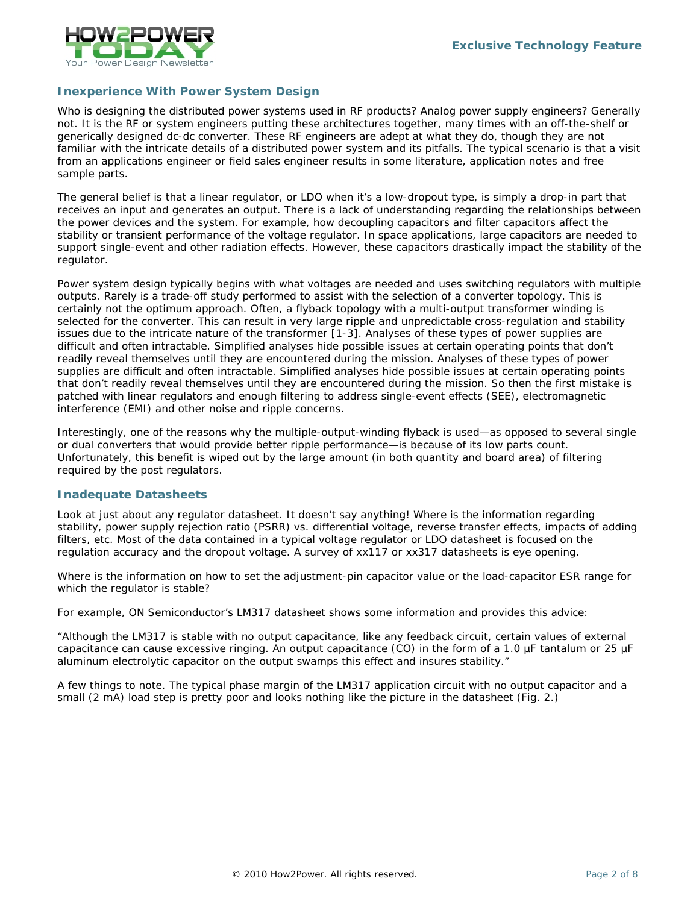

## *Inexperience With Power System Design*

Who is designing the distributed power systems used in RF products? Analog power supply engineers? Generally not. It is the RF or system engineers putting these architectures together, many times with an off-the-shelf or generically designed dc-dc converter. These RF engineers are adept at what they do, though they are not familiar with the intricate details of a distributed power system and its pitfalls. The typical scenario is that a visit from an applications engineer or field sales engineer results in some literature, application notes and free sample parts.

The general belief is that a linear regulator, or LDO when it's a low-dropout type, is simply a drop-in part that receives an input and generates an output. There is a lack of understanding regarding the relationships between the power devices and the system. For example, how decoupling capacitors and filter capacitors affect the stability or transient performance of the voltage regulator. In space applications, large capacitors are needed to support single-event and other radiation effects. However, these capacitors drastically impact the stability of the regulator.

Power system design typically begins with what voltages are needed and uses switching regulators with multiple outputs. Rarely is a trade-off study performed to assist with the selection of a converter topology. This is certainly not the optimum approach. Often, a flyback topology with a multi-output transformer winding is selected for the converter. This can result in very large ripple and unpredictable cross-regulation and stability issues due to the intricate nature of the transformer [1-3]. Analyses of these types of power supplies are difficult and often intractable. Simplified analyses hide possible issues at certain operating points that don't readily reveal themselves until they are encountered during the mission. Analyses of these types of power supplies are difficult and often intractable. Simplified analyses hide possible issues at certain operating points that don't readily reveal themselves until they are encountered during the mission. So then the first mistake is patched with linear regulators and enough filtering to address single-event effects (SEE), electromagnetic interference (EMI) and other noise and ripple concerns.

Interestingly, one of the reasons why the multiple-output-winding flyback is used—as opposed to several single or dual converters that would provide better ripple performance—is because of its low parts count. Unfortunately, this benefit is wiped out by the large amount (in both quantity and board area) of filtering required by the post regulators.

#### *Inadequate Datasheets*

Look at just about any regulator datasheet. It doesn't say anything! Where is the information regarding stability, power supply rejection ratio (PSRR) vs. differential voltage, reverse transfer effects, impacts of adding filters, etc. Most of the data contained in a typical voltage regulator or LDO datasheet is focused on the regulation accuracy and the dropout voltage. A survey of xx117 or xx317 datasheets is eye opening.

Where is the information on how to set the adjustment-pin capacitor value or the load-capacitor ESR range for which the regulator is stable?

For example, ON Semiconductor's LM317 datasheet shows some information and provides this advice:

"Although the LM317 is stable with no output capacitance, like any feedback circuit, certain values of external capacitance can cause excessive ringing. An output capacitance (CO) in the form of a 1.0 µF tantalum or 25 µF aluminum electrolytic capacitor on the output swamps this effect and insures stability."

A few things to note. The typical phase margin of the LM317 application circuit with no output capacitor and a small (2 mA) load step is pretty poor and looks nothing like the picture in the datasheet (Fig. 2.)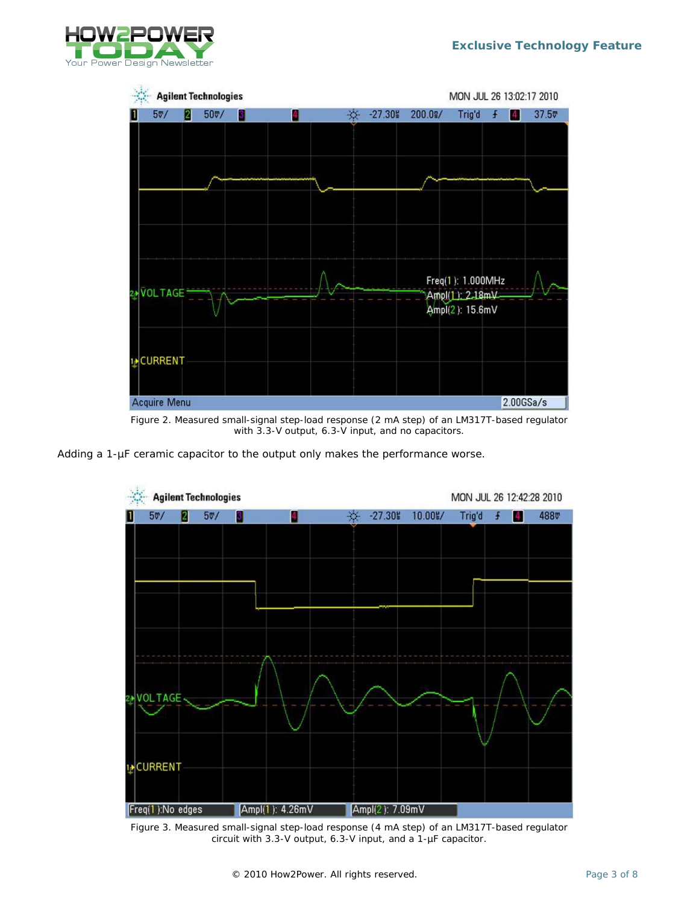



*Figure 2. Measured small-signal step-load response (2 mA step) of an LM317T-based regulator with 3.3-V output, 6.3-V input, and no capacitors.*

Adding a 1-µF ceramic capacitor to the output only makes the performance worse.



*Figure 3. Measured small-signal step-load response (4 mA step) of an LM317T-based regulator circuit with 3.3-V output, 6.3-V input, and a 1-µF capacitor.*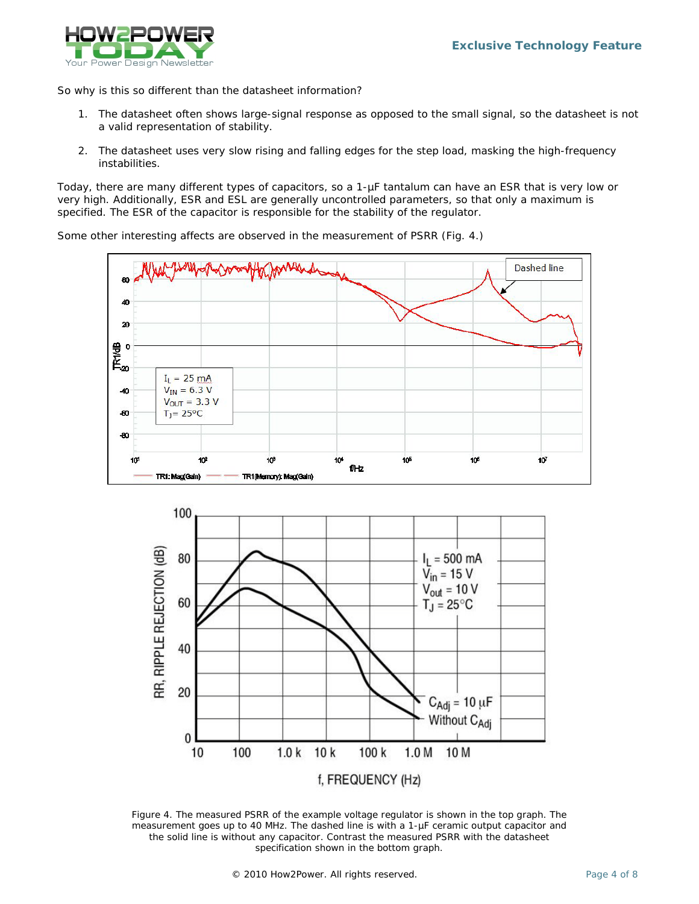

So why is this so different than the datasheet information?

- 1. The datasheet often shows large-signal response as opposed to the small signal, so the datasheet is not a valid representation of stability.
- 2. The datasheet uses very slow rising and falling edges for the step load, masking the high-frequency instabilities.

Today, there are many different types of capacitors, so a 1-µF tantalum can have an ESR that is very low or very high. Additionally, ESR and ESL are generally uncontrolled parameters, so that only a maximum is specified. The ESR of the capacitor is responsible for the stability of the regulator.

Some other interesting affects are observed in the measurement of PSRR (Fig. 4.)





*Figure 4. The measured PSRR of the example voltage regulator is shown in the top graph. The measurement goes up to 40 MHz. The dashed line is with a 1-µF ceramic output capacitor and the solid line is without any capacitor. Contrast the measured PSRR with the datasheet specification shown in the bottom graph.*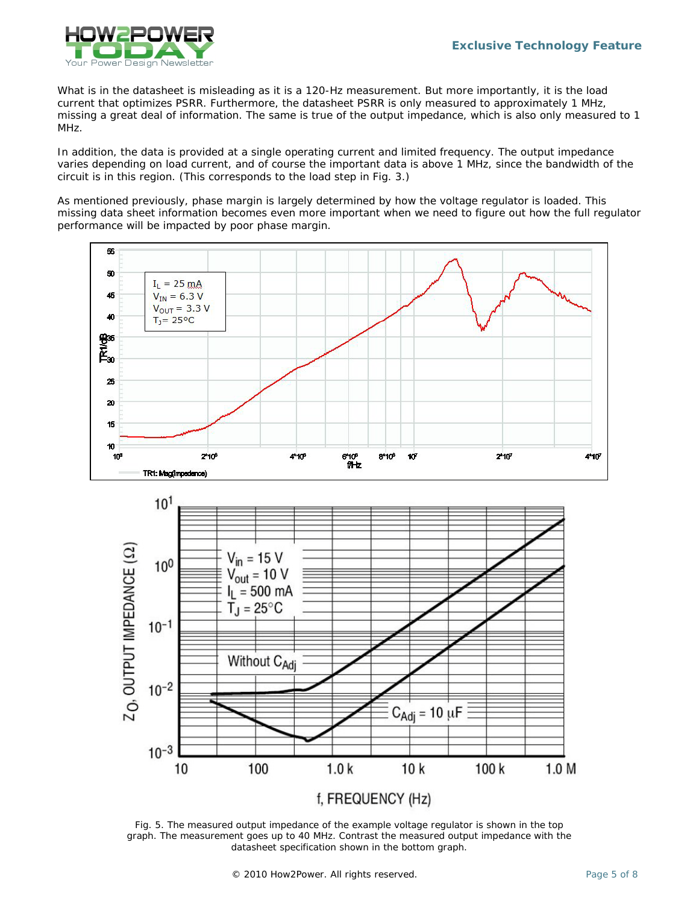

What is in the datasheet is misleading as it is a 120-Hz measurement. But more importantly, it is the load current that optimizes PSRR. Furthermore, the datasheet PSRR is only measured to approximately 1 MHz, missing a great deal of information. The same is true of the output impedance, which is also only measured to 1 MHz.

In addition, the data is provided at a single operating current and limited frequency. The output impedance varies depending on load current, and of course the important data is above 1 MHz, since the bandwidth of the circuit is in this region. (This corresponds to the load step in Fig. 3.)

As mentioned previously, phase margin is largely determined by how the voltage regulator is loaded. This missing data sheet information becomes even more important when we need to figure out how the full regulator performance will be impacted by poor phase margin.





*Fig. 5. The measured output impedance of the example voltage regulator is shown in the top graph. The measurement goes up to 40 MHz. Contrast the measured output impedance with the datasheet specification shown in the bottom graph.*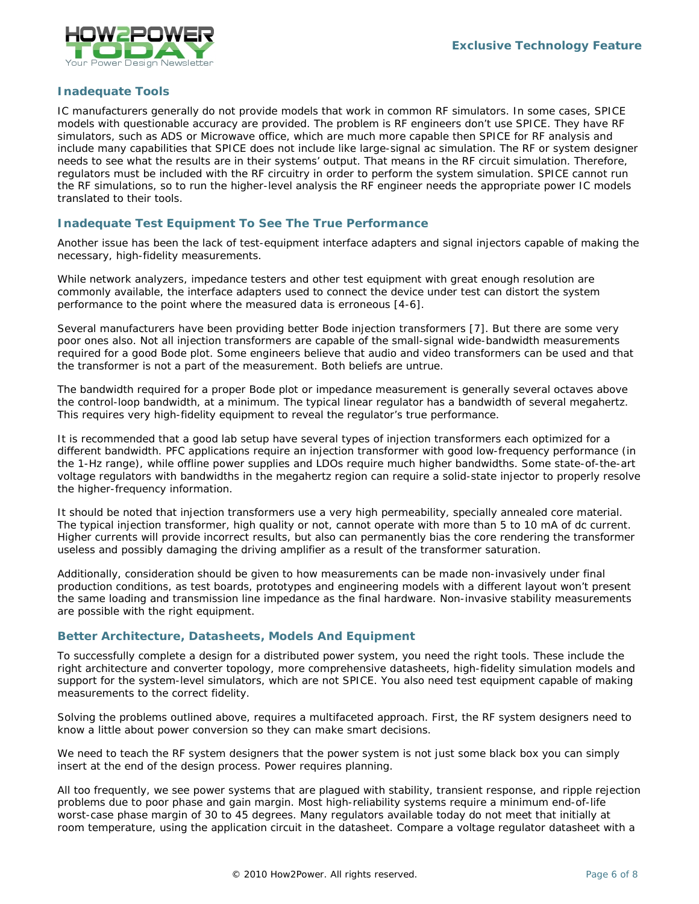

## *Inadequate Tools*

IC manufacturers generally do not provide models that work in common RF simulators. In some cases, SPICE models with questionable accuracy are provided. The problem is RF engineers don't use SPICE. They have RF simulators, such as ADS or Microwave office, which are much more capable then SPICE for RF analysis and include many capabilities that SPICE does not include like large-signal ac simulation. The RF or system designer needs to see what the results are in their systems' output. That means in the RF circuit simulation. Therefore, regulators must be included with the RF circuitry in order to perform the system simulation. SPICE cannot run the RF simulations, so to run the higher-level analysis the RF engineer needs the appropriate power IC models translated to their tools.

## *Inadequate Test Equipment To See The True Performance*

Another issue has been the lack of test-equipment interface adapters and signal injectors capable of making the necessary, high-fidelity measurements.

While network analyzers, impedance testers and other test equipment with great enough resolution are commonly available, the interface adapters used to connect the device under test can distort the system performance to the point where the measured data is erroneous [4-6].

Several manufacturers have been providing better Bode injection transformers [7]. But there are some very poor ones also. Not all injection transformers are capable of the small-signal wide-bandwidth measurements required for a good Bode plot. Some engineers believe that audio and video transformers can be used and that the transformer is not a part of the measurement. Both beliefs are untrue.

The bandwidth required for a proper Bode plot or impedance measurement is generally several octaves above the control-loop bandwidth, at a minimum. The typical linear regulator has a bandwidth of several megahertz. This requires very high-fidelity equipment to reveal the regulator's true performance.

It is recommended that a good lab setup have several types of injection transformers each optimized for a different bandwidth. PFC applications require an injection transformer with good low-frequency performance (in the 1-Hz range), while offline power supplies and LDOs require much higher bandwidths. Some state-of-the-art voltage regulators with bandwidths in the megahertz region can require a solid-state injector to properly resolve the higher-frequency information.

It should be noted that injection transformers use a very high permeability, specially annealed core material. The typical injection transformer, high quality or not, cannot operate with more than 5 to 10 mA of dc current. Higher currents will provide incorrect results, but also can permanently bias the core rendering the transformer useless and possibly damaging the driving amplifier as a result of the transformer saturation.

Additionally, consideration should be given to how measurements can be made non-invasively under final production conditions, as test boards, prototypes and engineering models with a different layout won't present the same loading and transmission line impedance as the final hardware. Non-invasive stability measurements are possible with the right equipment.

#### *Better Architecture, Datasheets, Models And Equipment*

To successfully complete a design for a distributed power system, you need the right tools. These include the right architecture and converter topology, more comprehensive datasheets, high-fidelity simulation models and support for the system-level simulators, which are not SPICE. You also need test equipment capable of making measurements to the correct fidelity.

Solving the problems outlined above, requires a multifaceted approach. First, the RF system designers need to know a little about power conversion so they can make smart decisions.

We need to teach the RF system designers that the power system is not just some black box you can simply insert at the end of the design process. Power requires planning.

All too frequently, we see power systems that are plagued with stability, transient response, and ripple rejection problems due to poor phase and gain margin. Most high-reliability systems require a minimum end-of-life worst-case phase margin of 30 to 45 degrees. Many regulators available today do not meet that initially at room temperature, using the application circuit in the datasheet. Compare a voltage regulator datasheet with a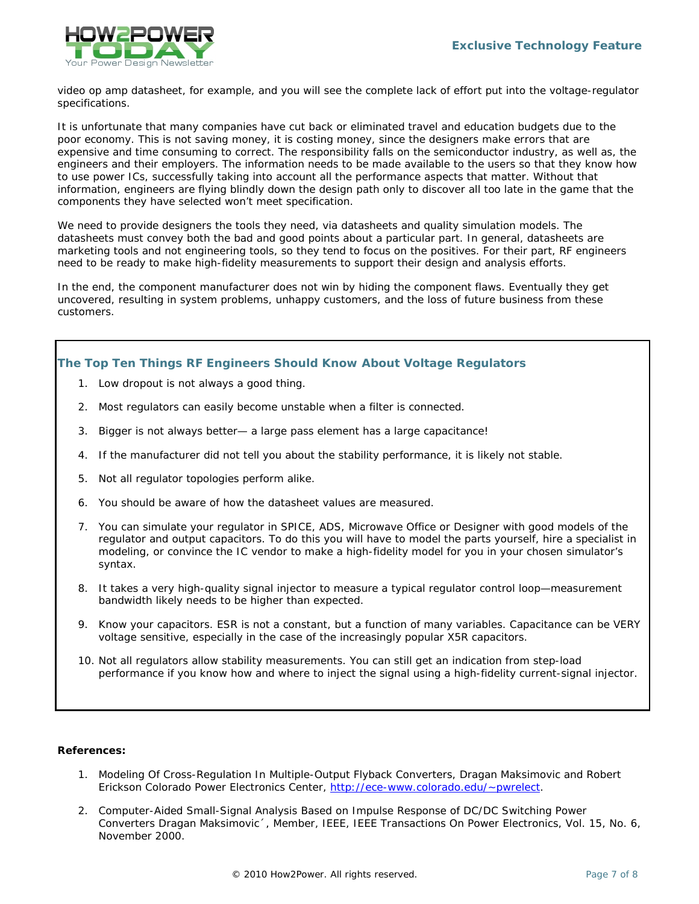

video op amp datasheet, for example, and you will see the complete lack of effort put into the voltage-regulator specifications.

It is unfortunate that many companies have cut back or eliminated travel and education budgets due to the poor economy. This is not saving money, it is costing money, since the designers make errors that are expensive and time consuming to correct. The responsibility falls on the semiconductor industry, as well as, the engineers and their employers. The information needs to be made available to the users so that they know how to use power ICs, successfully taking into account all the performance aspects that matter. Without that information, engineers are flying blindly down the design path only to discover all too late in the game that the components they have selected won't meet specification.

We need to provide designers the tools they need, via datasheets and quality simulation models. The datasheets must convey both the bad and good points about a particular part. In general, datasheets are marketing tools and not engineering tools, so they tend to focus on the positives. For their part, RF engineers need to be ready to make high-fidelity measurements to support their design and analysis efforts.

In the end, the component manufacturer does not win by hiding the component flaws. Eventually they get uncovered, resulting in system problems, unhappy customers, and the loss of future business from these customers.

*The Top Ten Things RF Engineers Should Know About Voltage Regulators*

- 1. Low dropout is not always a good thing.
- 2. Most regulators can easily become unstable when a filter is connected.
- 3. Bigger is not always better— a large pass element has a large capacitance!
- 4. If the manufacturer did not tell you about the stability performance, it is likely not stable.
- 5. Not all regulator topologies perform alike.
- 6. You should be aware of how the datasheet values are measured.
- 7. You can simulate your regulator in SPICE, ADS, Microwave Office or Designer with good models of the regulator and output capacitors. To do this you will have to model the parts yourself, hire a specialist in modeling, or convince the IC vendor to make a high-fidelity model for you in your chosen simulator's syntax.
- 8. It takes a very high-quality signal injector to measure a typical regulator control loop—measurement bandwidth likely needs to be higher than expected.
- 9. Know your capacitors. ESR is not a constant, but a function of many variables. Capacitance can be VERY voltage sensitive, especially in the case of the increasingly popular X5R capacitors.
- 10. Not all regulators allow stability measurements. You can still get an indication from step-load performance if you know how and where to inject the signal using a high-fidelity current-signal injector.

#### **References:**

- 1. Modeling Of Cross-Regulation In Multiple-Output Flyback Converters, Dragan Maksimovic and Robert Erickson Colorado Power Electronics Center, [http://ece-www.colorado.edu/~pwrelect.](http://ece-www.colorado.edu/~pwrelect)
- 2. Computer-Aided Small-Signal Analysis Based on Impulse Response of DC/DC Switching Power Converters Dragan Maksimovic´, Member, IEEE, IEEE Transactions On Power Electronics, Vol. 15, No. 6, November 2000.